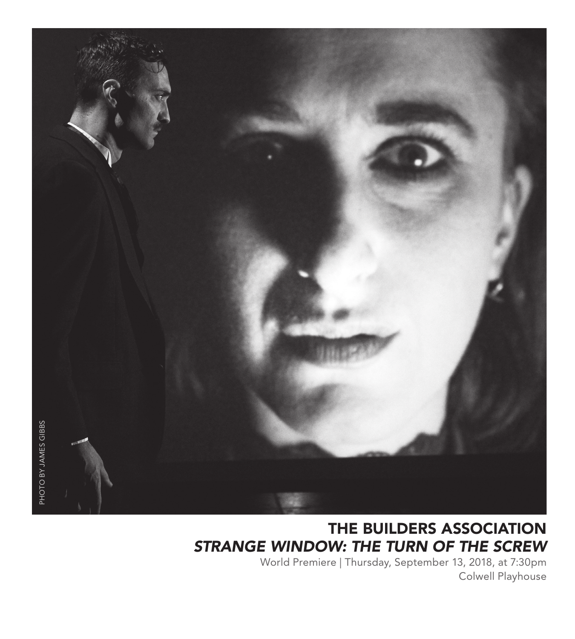

# THE BUILDERS ASSOCIATION *STRANGE WINDOW: THE TURN OF THE SCREW*

World Premiere | Thursday, September 13, 2018, at 7:30pm Colwell Playhouse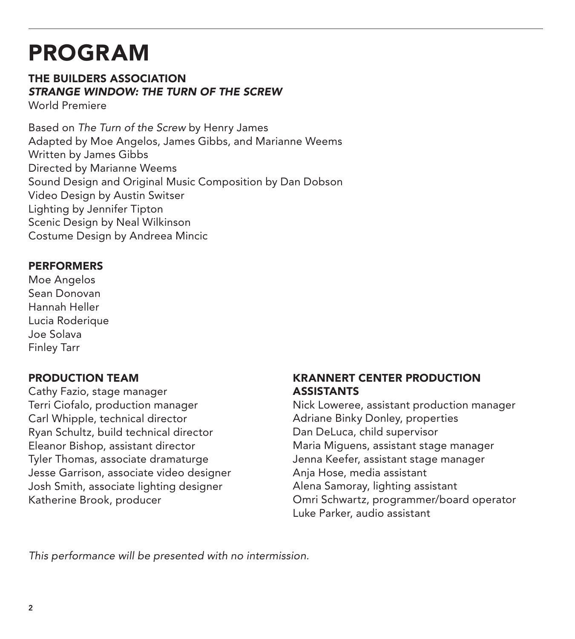# PROGRAM

# THE BUILDERS ASSOCIATION *STRANGE WINDOW: THE TURN OF THE SCREW*

World Premiere

Based on *The Turn of the Screw* by Henry James Adapted by Moe Angelos, James Gibbs, and Marianne Weems Written by James Gibbs Directed by Marianne Weems Sound Design and Original Music Composition by Dan Dobson Video Design by Austin Switser Lighting by Jennifer Tipton Scenic Design by Neal Wilkinson Costume Design by Andreea Mincic

## PERFORMERS

Moe Angelos Sean Donovan Hannah Heller Lucia Roderique Joe Solava Finley Tarr

## PRODUCTION TEAM

Cathy Fazio, stage manager Terri Ciofalo, production manager Carl Whipple, technical director Ryan Schultz, build technical director Eleanor Bishop, assistant director Tyler Thomas, associate dramaturge Jesse Garrison, associate video designer Josh Smith, associate lighting designer Katherine Brook, producer

#### KRANNERT CENTER PRODUCTION **ASSISTANTS**

Nick Loweree, assistant production manager Adriane Binky Donley, properties Dan DeLuca, child supervisor Maria Miguens, assistant stage manager Jenna Keefer, assistant stage manager Anja Hose, media assistant Alena Samoray, lighting assistant Omri Schwartz, programmer/board operator Luke Parker, audio assistant

*This performance will be presented with no intermission.*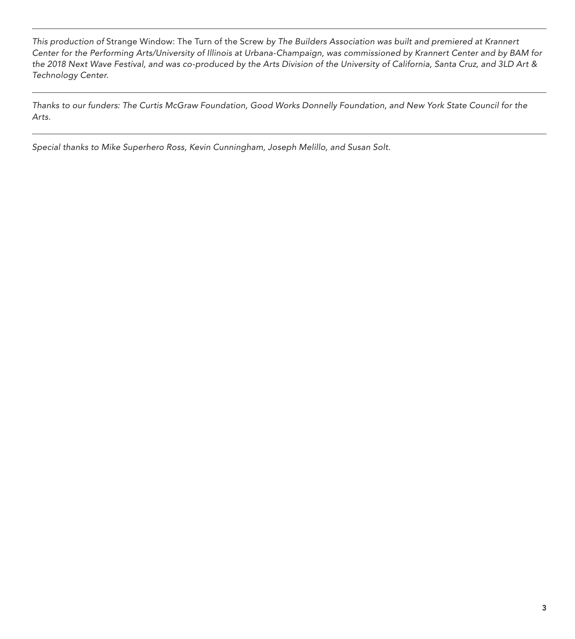*This production of* Strange Window: The Turn of the Screw *by The Builders Association was built and premiered at Krannert Center for the Performing Arts/University of Illinois at Urbana-Champaign, was commissioned by Krannert Center and by BAM for the 2018 Next Wave Festival, and was co-produced by the Arts Division of the University of California, Santa Cruz, and 3LD Art & Technology Center.*

*Thanks to our funders: The Curtis McGraw Foundation, Good Works Donnelly Foundation, and New York State Council for the Arts.*

*Special thanks to Mike Superhero Ross, Kevin Cunningham, Joseph Melillo, and Susan Solt.*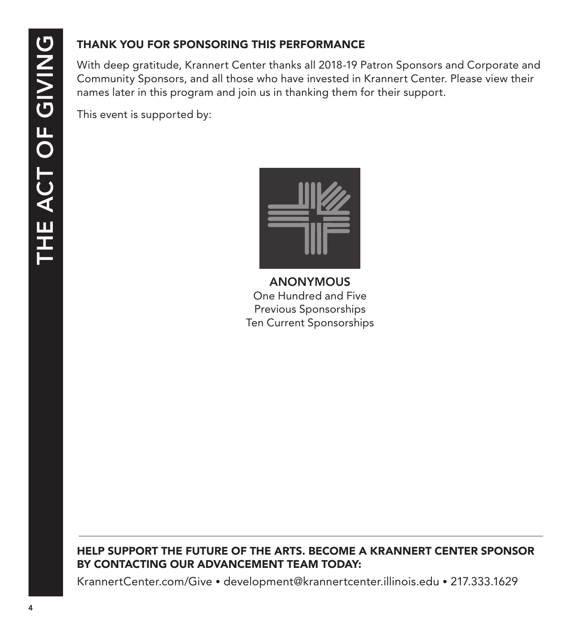# THANK YOU FOR SPONSORING THIS PERFORMANCE

With deep gratitude, Krannert Center thanks all 2018-19 Patron Sponsors and Corporate and Community Sponsors, and all those who have invested in Krannert Center. Please view their names later in this program and join us in thanking them for their support.

This event is supported by:



ANONYMOUS One Hundred and Five Previous Sponsorships Ten Current Sponsorships

## HELP SUPPORT THE FUTURE OF THE ARTS. BECOME A KRANNERT CENTER SPONSOR BY CONTACTING OUR ADVANCEMENT TEAM TODAY:

KrannertCenter.com/Give • development@krannertcenter.illinois.edu • 217.333.1629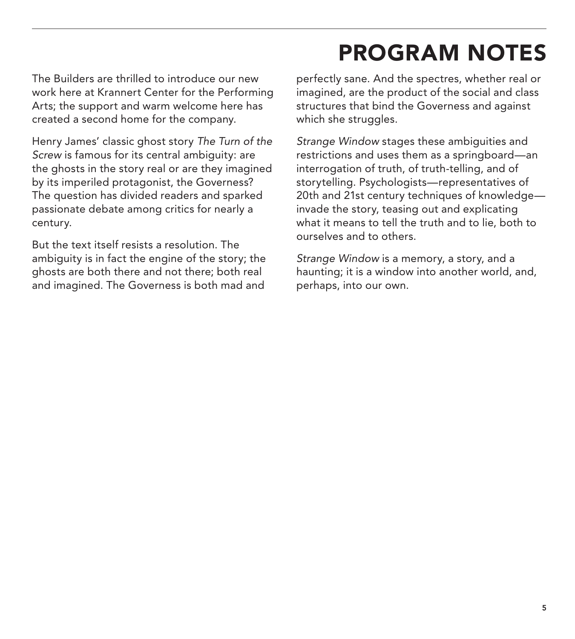# PROGRAM NOTES

The Builders are thrilled to introduce our new work here at Krannert Center for the Performing Arts; the support and warm welcome here has created a second home for the company.

Henry James' classic ghost story *The Turn of the Screw* is famous for its central ambiguity: are the ghosts in the story real or are they imagined by its imperiled protagonist, the Governess? The question has divided readers and sparked passionate debate among critics for nearly a century.

But the text itself resists a resolution. The ambiguity is in fact the engine of the story; the ghosts are both there and not there; both real and imagined. The Governess is both mad and perfectly sane. And the spectres, whether real or imagined, are the product of the social and class structures that bind the Governess and against which she struggles.

*Strange Window* stages these ambiguities and restrictions and uses them as a springboard—an interrogation of truth, of truth-telling, and of storytelling. Psychologists—representatives of 20th and 21st century techniques of knowledge invade the story, teasing out and explicating what it means to tell the truth and to lie, both to ourselves and to others.

*Strange Window* is a memory, a story, and a haunting; it is a window into another world, and, perhaps, into our own.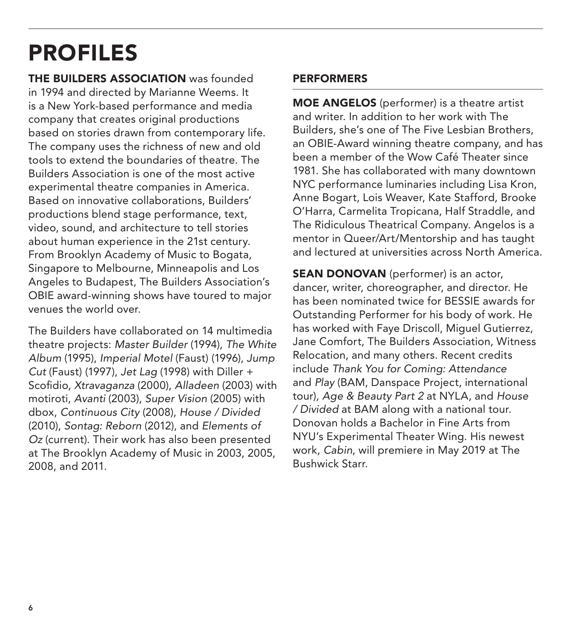# PROFILES

**THE BUILDERS ASSOCIATION** was founded in 1994 and directed by Marianne Weems. It is a New York-based performance and media company that creates original productions based on stories drawn from contemporary life. The company uses the richness of new and old tools to extend the boundaries of theatre. The Builders Association is one of the most active experimental theatre companies in America. Based on innovative collaborations, Builders' productions blend stage performance, text, video, sound, and architecture to tell stories about human experience in the 21st century. From Brooklyn Academy of Music to Bogata, Singapore to Melbourne, Minneapolis and Los Angeles to Budapest, The Builders Association's OBIE award-winning shows have toured to major venues the world over.

The Builders have collaborated on 14 multimedia theatre projects: *Master Builder* (1994), *The White Album* (1995), *Imperial Motel* (Faust) (1996), *Jump Cut* (Faust) (1997), *Jet Lag* (1998) with Diller + Scofidio, *Xtravaganza* (2000), *Alladeen* (2003) with motiroti, *Avanti* (2003), *Super Vision* (2005) with dbox, *Continuous City* (2008), *House / Divided* (2010), *Sontag: Reborn* (2012), and *Elements of Oz* (current). Their work has also been presented at The Brooklyn Academy of Music in 2003, 2005, 2008, and 2011.

#### PERFORMERS

MOE ANGELOS (performer) is a theatre artist and writer. In addition to her work with The Builders, she's one of The Five Lesbian Brothers, an OBIE-Award winning theatre company, and has been a member of the Wow Café Theater since 1981. She has collaborated with many downtown NYC performance luminaries including Lisa Kron, Anne Bogart, Lois Weaver, Kate Stafford, Brooke O'Harra, Carmelita Tropicana, Half Straddle, and The Ridiculous Theatrical Company. Angelos is a mentor in Queer/Art/Mentorship and has taught and lectured at universities across North America.

**SEAN DONOVAN** (performer) is an actor, dancer, writer, choreographer, and director. He has been nominated twice for BESSIE awards for Outstanding Performer for his body of work. He has worked with Faye Driscoll, Miguel Gutierrez, Jane Comfort, The Builders Association, Witness Relocation, and many others. Recent credits include *Thank You for Coming: Attendance*  and *Play* (BAM, Danspace Project, international tour)*, Age & Beauty Part 2* at NYLA, and *House / Divided* at BAM along with a national tour. Donovan holds a Bachelor in Fine Arts from NYU's Experimental Theater Wing. His newest work, *Cabin*, will premiere in May 2019 at The Bushwick Starr.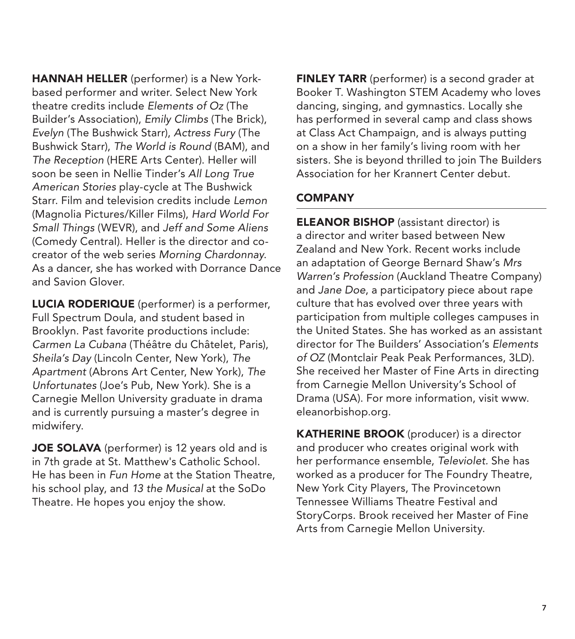HANNAH HELLER (performer) is a New Yorkbased performer and writer. Select New York theatre credits include *Elements of Oz* (The Builder's Association), *Emily Climbs* (The Brick), *Evelyn* (The Bushwick Starr), *Actress Fury* (The Bushwick Starr), *The World is Round* (BAM), and *The Reception* (HERE Arts Center). Heller will soon be seen in Nellie Tinder's *All Long True American Stories* play-cycle at The Bushwick Starr. Film and television credits include *Lemon* (Magnolia Pictures/Killer Films), *Hard World For Small Things* (WEVR), and *Jeff and Some Aliens*  (Comedy Central). Heller is the director and cocreator of the web series *Morning Chardonnay*. As a dancer, she has worked with Dorrance Dance and Savion Glover.

LUCIA RODERIQUE (performer) is a performer, Full Spectrum Doula, and student based in Brooklyn. Past favorite productions include: *Carmen La Cubana* (Théâtre du Châtelet, Paris), *Sheila's Day* (Lincoln Center, New York), *The Apartment* (Abrons Art Center, New York), *The Unfortunates* (Joe's Pub, New York). She is a Carnegie Mellon University graduate in drama and is currently pursuing a master's degree in midwifery.

JOE SOLAVA (performer) is 12 years old and is in 7th grade at St. Matthew's Catholic School. He has been in *Fun Home* at the Station Theatre, his school play, and *13 the Musical* at the SoDo Theatre. He hopes you enjoy the show.

**FINLEY TARR** (performer) is a second grader at Booker T. Washington STEM Academy who loves dancing, singing, and gymnastics. Locally she has performed in several camp and class shows at Class Act Champaign, and is always putting on a show in her family's living room with her sisters. She is beyond thrilled to join The Builders Association for her Krannert Center debut.

## **COMPANY**

**ELEANOR BISHOP** (assistant director) is a director and writer based between New Zealand and New York. Recent works include an adaptation of George Bernard Shaw's *Mrs Warren's Profession* (Auckland Theatre Company) and *Jane Doe*, a participatory piece about rape culture that has evolved over three years with participation from multiple colleges campuses in the United States. She has worked as an assistant director for The Builders' Association's *Elements of OZ* (Montclair Peak Peak Performances, 3LD). She received her Master of Fine Arts in directing from Carnegie Mellon University's School of Drama (USA). For more information, visit www. eleanorbishop.org.

KATHERINE BROOK (producer) is a director and producer who creates original work with her performance ensemble, *Televiolet.* She has worked as a producer for The Foundry Theatre, New York City Players, The Provincetown Tennessee Williams Theatre Festival and StoryCorps. Brook received her Master of Fine Arts from Carnegie Mellon University.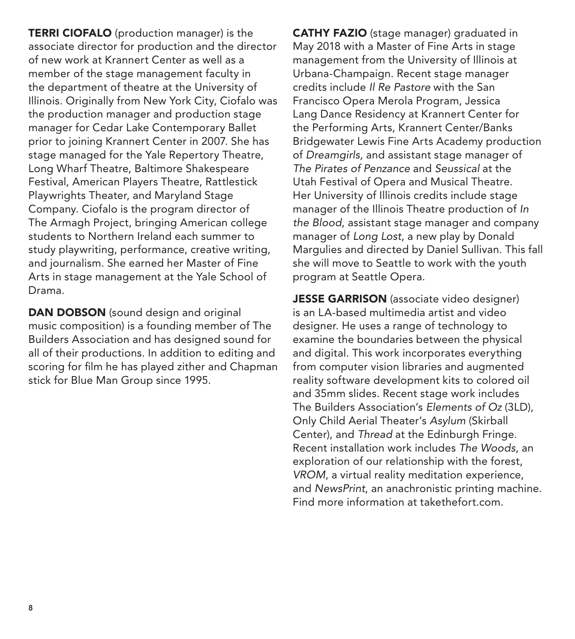**TERRI CIOFALO** (production manager) is the associate director for production and the director of new work at Krannert Center as well as a member of the stage management faculty in the department of theatre at the University of Illinois. Originally from New York City, Ciofalo was the production manager and production stage manager for Cedar Lake Contemporary Ballet prior to joining Krannert Center in 2007. She has stage managed for the Yale Repertory Theatre, Long Wharf Theatre, Baltimore Shakespeare Festival, American Players Theatre, Rattlestick Playwrights Theater, and Maryland Stage Company. Ciofalo is the program director of The Armagh Project, bringing American college students to Northern Ireland each summer to study playwriting, performance, creative writing, and journalism. She earned her Master of Fine Arts in stage management at the Yale School of Drama.

DAN DOBSON (sound design and original music composition) is a founding member of The Builders Association and has designed sound for all of their productions. In addition to editing and scoring for film he has played zither and Chapman stick for Blue Man Group since 1995.

CATHY FAZIO (stage manager) graduated in May 2018 with a Master of Fine Arts in stage management from the University of Illinois at Urbana-Champaign. Recent stage manager credits include *Il Re Pastore* with the San Francisco Opera Merola Program, Jessica Lang Dance Residency at Krannert Center for the Performing Arts, Krannert Center/Banks Bridgewater Lewis Fine Arts Academy production of *Dreamgirls,* and assistant stage manager of *The Pirates of Penzance* and *Seussical* at the Utah Festival of Opera and Musical Theatre. Her University of Illinois credits include stage manager of the Illinois Theatre production of *In the Blood*, assistant stage manager and company manager of *Long Lost*, a new play by Donald Margulies and directed by Daniel Sullivan. This fall she will move to Seattle to work with the youth program at Seattle Opera.

JESSE GARRISON (associate video designer) is an LA-based multimedia artist and video designer. He uses a range of technology to examine the boundaries between the physical and digital. This work incorporates everything from computer vision libraries and augmented reality software development kits to colored oil and 35mm slides. Recent stage work includes The Builders Association's *Elements of Oz* (3LD), Only Child Aerial Theater's *Asylum* (Skirball Center), and *Thread* at the Edinburgh Fringe. Recent installation work includes *The Woods*, an exploration of our relationship with the forest, *VROM*, a virtual reality meditation experience, and *NewsPrint*, an anachronistic printing machine. Find more information at takethefort.com.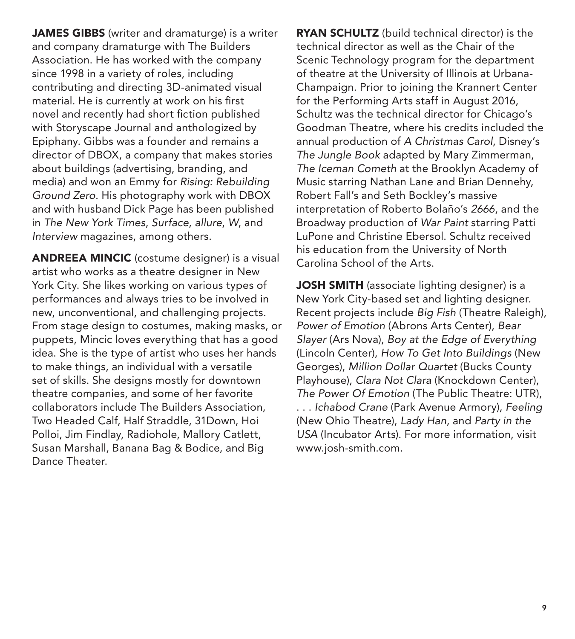JAMES GIBBS (writer and dramaturge) is a writer and company dramaturge with The Builders Association. He has worked with the company since 1998 in a variety of roles, including contributing and directing 3D-animated visual material. He is currently at work on his first novel and recently had short fiction published with Storyscape Journal and anthologized by Epiphany. Gibbs was a founder and remains a director of DBOX, a company that makes stories about buildings (advertising, branding, and media) and won an Emmy for *Rising: Rebuilding Ground Zero*. His photography work with DBOX and with husband Dick Page has been published in *The New York Times*, *Surface*, *allure*, *W*, and *Interview* magazines, among others.

ANDREEA MINCIC (costume designer) is a visual artist who works as a theatre designer in New York City. She likes working on various types of performances and always tries to be involved in new, unconventional, and challenging projects. From stage design to costumes, making masks, or puppets, Mincic loves everything that has a good idea. She is the type of artist who uses her hands to make things, an individual with a versatile set of skills. She designs mostly for downtown theatre companies, and some of her favorite collaborators include The Builders Association, Two Headed Calf, Half Straddle, 31Down, Hoi Polloi, Jim Findlay, Radiohole, Mallory Catlett, Susan Marshall, Banana Bag & Bodice, and Big Dance Theater.

RYAN SCHULTZ (build technical director) is the technical director as well as the Chair of the Scenic Technology program for the department of theatre at the University of Illinois at Urbana-Champaign. Prior to joining the Krannert Center for the Performing Arts staff in August 2016, Schultz was the technical director for Chicago's Goodman Theatre, where his credits included the annual production of *A Christmas Carol*, Disney's *The Jungle Book* adapted by Mary Zimmerman, *The Iceman Cometh* at the Brooklyn Academy of Music starring Nathan Lane and Brian Dennehy, Robert Fall's and Seth Bockley's massive interpretation of Roberto Bolaño's *2666*, and the Broadway production of *War Paint* starring Patti LuPone and Christine Ebersol. Schultz received his education from the University of North Carolina School of the Arts.

**JOSH SMITH** (associate lighting designer) is a New York City-based set and lighting designer. Recent projects include *Big Fish* (Theatre Raleigh), *Power of Emotion* (Abrons Arts Center), *Bear Slayer* (Ars Nova), *Boy at the Edge of Everything*  (Lincoln Center), *How To Get Into Buildings* (New Georges), *Million Dollar Quartet* (Bucks County Playhouse), *Clara Not Clara* (Knockdown Center), *The Power Of Emotion* (The Public Theatre: UTR), . . . *Ichabod Crane* (Park Avenue Armory), *Feeling* (New Ohio Theatre), *Lady Han*, and *Party in the USA* (Incubator Arts). For more information, visit www.josh-smith.com.